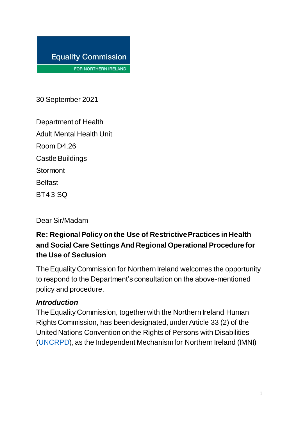

FOR NORTHERN IRELAND

30 September 2021

Department of Health Adult Mental Health Unit Room D4.26 Castle Buildings **Stormont Belfast** BT4 3 SQ

Dear Sir/Madam

## **Re: Regional Policy on the Use of Restrictive Practices in Health and Social Care Settings And Regional Operational Procedure for the Use of Seclusion**

The Equality Commission for Northern Ireland welcomes the opportunity to respond to the Department's consultation on the above-mentioned policy and procedure.

#### *Introduction*

The Equality Commission, together with the Northern Ireland Human Rights Commission, has been designated, under Article 33 (2) of the United Nations Convention on the Rights of Persons with Disabilities [\(UNCRPD\)](https://www.un.org/development/desa/disabilities/convention-on-the-rights-of-persons-with-disabilities/convention-on-the-rights-of-persons-with-disabilities-2.html), as the Independent Mechanism for Northern Ireland (IMNI)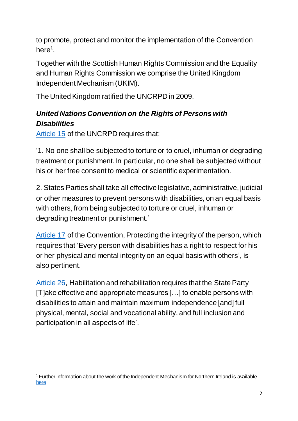to promote, protect and monitor the implementation of the Convention here<sup>1</sup>.

Together with the Scottish Human Rights Commission and the Equality and Human Rights Commission we comprise the United Kingdom Independent Mechanism (UKIM).

The United Kingdom ratified the UNCRPD in 2009.

# *United Nations Convention on the Rights of Persons with Disabilities*

[Article 15](https://www.un.org/development/desa/disabilities/convention-on-the-rights-of-persons-with-disabilities/article-15-freedom-from-torture-or-cruel-inhuman-or-degrading-treatment-or-punishment.html) of the UNCRPD requires that:

'1. No one shall be subjected to torture or to cruel, inhuman or degrading treatment or punishment. In particular, no one shall be subjected without his or her free consent to medical or scientific experimentation.

2. States Parties shall take all effective legislative, administrative, judicial or other measures to prevent persons with disabilities, on an equal basis with others, from being subjected to torture or cruel, inhuman or degrading treatment or punishment.'

[Article 17](https://www.un.org/development/desa/disabilities/convention-on-the-rights-of-persons-with-disabilities/article-17-protecting-the-integrity-of-the-person.html) of the Convention, Protecting the integrity of the person, which requires that 'Every person with disabilities has a right to respect for his or her physical and mental integrity on an equal basis with others', is also pertinent.

[Article 26,](https://www.un.org/development/desa/disabilities/convention-on-the-rights-of-persons-with-disabilities/article-26-habilitation-and-rehabilitation.html) Habilitation and rehabilitation requires that the State Party [T]ake effective and appropriate measures […] to enable persons with disabilities to attain and maintain maximum independence [and] full physical, mental, social and vocational ability, and full inclusion and participation in all aspects of life'.

 $\overline{a}$ <sup>1</sup> Further information about the work of the Independent Mechanism for Northern Ireland is available [here](https://www.equalityni.org/uncrpd)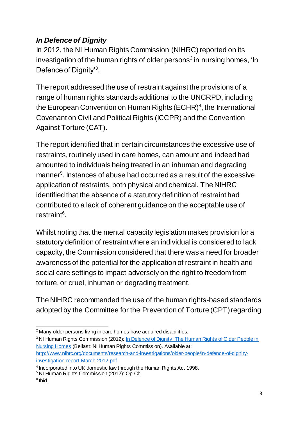## *In Defence of Dignity*

In 2012, the NI Human Rights Commission (NIHRC) reported on its investigation of the human rights of older persons<sup>2</sup> in nursing homes, 'In Defence of Dignity'<sup>3</sup>.

The report addressed the use of restraint against the provisions of a range of human rights standards additional to the UNCRPD, including the European Convention on Human Rights  $(ECHR)^4$ , the International Covenant on Civil and Political Rights (ICCPR) and the Convention Against Torture (CAT).

The report identified that in certain circumstances the excessive use of restraints, routinely used in care homes, can amount and indeed had amounted to individuals being treated in an inhuman and degrading manner<sup>5</sup>. Instances of abuse had occurred as a result of the excessive application of restraints, both physical and chemical. The NIHRC identified that the absence of a statutory definition of restraint had contributed to a lack of coherent guidance on the acceptable use of restraint<sup>6</sup>.

Whilst noting that the mental capacity legislation makes provision for a statutory definition of restraint where an individual is considered to lack capacity, the Commission considered that there was a need for broader awareness of the potential for the application of restraint in health and social care settings to impact adversely on the right to freedom from torture, or cruel, inhuman or degrading treatment.

The NIHRC recommended the use of the human rights-based standards adopted by the Committee for the Prevention of Torture (CPT) regarding

 $\overline{a}$ <sup>2</sup> Many older persons living in care homes have acquired disabilities.

<sup>&</sup>lt;sup>3</sup> NI Human Rights Commission (2012): In Defence of Dignity: The Human Rights of Older People in [Nursing Homes](https://nihrc.org/uploads/documents/research-and-investigations/older-people/in-defence-of-dignity-investigation-report-March-2012.pdf) (Belfast: NI Human Rights Commission). Available at: [http://www.nihrc.org/documents/research-and-investigations/older-people/in-defence-of-dignity](http://www.nihrc.org/documents/research-and-investigations/older-people/in-defence-of-dignity-investigation-report-March-2012.pdf)[investigation-report-March-2012.pdf](http://www.nihrc.org/documents/research-and-investigations/older-people/in-defence-of-dignity-investigation-report-March-2012.pdf)

<sup>&</sup>lt;sup>4</sup> Incorporated into UK domestic law through the Human Rights Act 1998.

<sup>5</sup> NI Human Rights Commission (2012): Op.Cit.

<sup>6</sup> Ibid.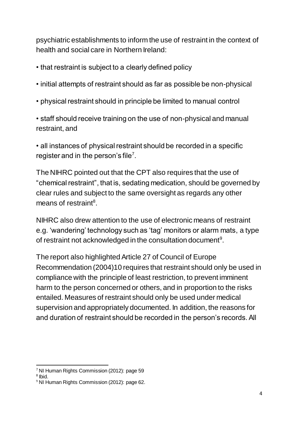psychiatric establishments to inform the use of restraint in the context of health and social care in Northern Ireland:

- that restraint is subject to a clearly defined policy
- initial attempts of restraint should as far as possible be non-physical
- physical restraint should in principle be limited to manual control
- staff should receive training on the use of non-physical and manual restraint, and

• all instances of physical restraint should be recorded in a specific register and in the person's file<sup>7</sup>.

The NIHRC pointed out that the CPT also requires that the use of "chemical restraint", that is, sedating medication, should be governed by clear rules and subject to the same oversight as regards any other means of restraint<sup>8</sup>.

NIHRC also drew attention to the use of electronic means of restraint e.g. 'wandering' technology such as 'tag' monitors or alarm mats, a type of restraint not acknowledged in the consultation document<sup>9</sup>.

The report also highlighted Article 27 of Council of Europe Recommendation (2004)10 requires that restraint should only be used in compliance with the principle of least restriction, to prevent imminent harm to the person concerned or others, and in proportion to the risks entailed. Measures of restraint should only be used under medical supervision and appropriately documented. In addition, the reasons for and duration of restraint should be recorded in the person's records. All

 $\overline{a}$ <sup>7</sup> NI Human Rights Commission (2012): page 59

<sup>8</sup> Ibid.

<sup>9</sup> NI Human Rights Commission (2012): page 62.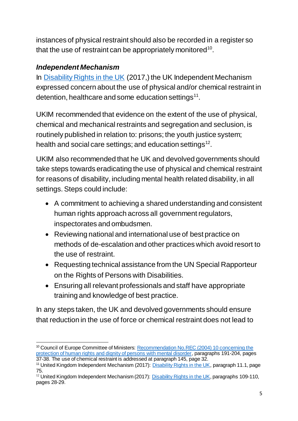instances of physical restraint should also be recorded in a register so that the use of restraint can be appropriately monitored<sup>10</sup>.

#### *Independent Mechanism*

In [Disability Rights in the UK](https://www.equalityni.org/ECNI/media/ECNI/Publications/Delivering%20Equality/UKIM-ShadowReport-July17.pdf) (2017,) the UK Independent Mechanism expressed concern about the use of physical and/or chemical restraint in detention, healthcare and some education settings $^{11}$ .

UKIM recommended that evidence on the extent of the use of physical, chemical and mechanical restraints and segregation and seclusion, is routinely published in relation to: prisons; the youth justice system; health and social care settings; and education settings $^{12}$ .

UKIM also recommended that he UK and devolved governments should take steps towards eradicating the use of physical and chemical restraint for reasons of disability, including mental health related disability, in all settings. Steps could include:

- A commitment to achieving a shared understanding and consistent human rights approach across all government regulators, inspectorates and ombudsmen.
- Reviewing national and international use of best practice on methods of de-escalation and other practices which avoid resort to the use of restraint.
- Requesting technical assistance from the UN Special Rapporteur on the Rights of Persons with Disabilities.
- Ensuring all relevant professionals and staff have appropriate training and knowledge of best practice.

In any steps taken, the UK and devolved governments should ensure that reduction in the use of force or chemical restraint does not lead to

 $\overline{a}$ <sup>10</sup> Council of Europe Committee of Ministers: Recommendation No.REC (2004) 10 concerning the [protection of human rights and dignity of persons with mental disorder,](https://rm.coe.int/rec-2004-10-em-e/168066c7e1) paragraphs 191-204, pages

<sup>37-38.</sup> The use of chemical restraint is addressed at paragraph 145, page 32.

<sup>&</sup>lt;sup>11</sup> United Kingdom Independent Mechanism (2017)[: Disability Rights in the UK,](https://www.equalityni.org/ECNI/media/ECNI/Publications/Delivering%20Equality/UKIM-ShadowReport-July17.pdf) paragraph 11.1, page 75.

<sup>&</sup>lt;sup>12</sup> United Kingdom Independent Mechanism (2017)[: Disability Rights in the UK](https://www.equalityni.org/ECNI/media/ECNI/Publications/Delivering%20Equality/UKIM-ShadowReport-July17.pdf), paragraphs 109-110, pages 28-29.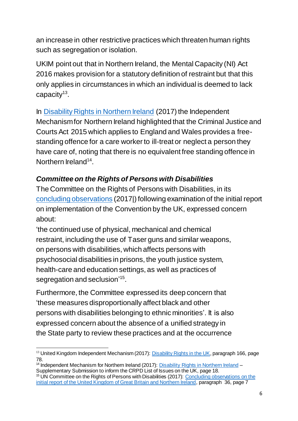an increase in other restrictive practices which threaten human rights such as segregation or isolation.

UKIM point out that in Northern Ireland, the Mental Capacity (NI) Act 2016 makes provision for a statutory definition of restraint but that this only applies in circumstances in which an individual is deemed to lack capacity<sup>13</sup>.

In [Disability Rights in Northern Ireland](https://www.equalityni.org/ECNI/media/ECNI/Publications/Delivering%20Equality/CRPD-NI-supplementary-submissionLOI.pdf) (2017) the Independent Mechanism for Northern Ireland highlighted that the Criminal Justice and Courts Act 2015 which applies to England and Wales provides a freestanding offence for a care worker to ill-treat or neglect a person they have care of, noting that there is no equivalent free standing offence in Northern Ireland<sup>14</sup>.

## *Committee on the Rights of Persons with Disabilities*

The Committee on the Rights of Persons with Disabilities, in its [concluding observations](https://www.equalityni.org/ECNI/media/ECNI/Publications/Delivering%20Equality/CRPD-ConcludingObservationsAug17.pdf) (2017|) following examination of the initial report on implementation of the Convention by the UK, expressed concern about:

'the continued use of physical, mechanical and chemical restraint, including the use of Taser guns and similar weapons, on persons with disabilities, which affects persons with psychosocial disabilities in prisons, the youth justice system, health-care and education settings, as well as practices of segregation and seclusion'<sup>15</sup>.

Furthermore, the Committee expressed its deep concern that 'these measures disproportionally affect black and other persons with disabilities belonging to ethnic minorities'. It is also expressed concern about the absence of a unified strategy in the State party to review these practices and at the occurrence

 $\overline{a}$ <sup>13</sup> United Kingdom Independent Mechanism (2017)[: Disability Rights in the UK](https://www.equalityni.org/ECNI/media/ECNI/Publications/Delivering%20Equality/UKIM-ShadowReport-July17.pdf), paragraph 166, page 78.

<sup>&</sup>lt;sup>14</sup> Independent Mechanism for Northern Ireland (2017): [Disability Rights in Northern Ireland](https://www.equalityni.org/ECNI/media/ECNI/Publications/Delivering%20Equality/CRPD-NI-supplementary-submissionLOI.pdf) -Supplementary Submission to inform the CRPD List of Issues on the UK, page 18.

<sup>&</sup>lt;sup>15</sup> UN Committee on the Rights of Persons with Disabilities (2017)[: Concluding observations](https://www.equalityni.org/ECNI/media/ECNI/Publications/Delivering%20Equality/CRPD-ConcludingObservationsAug17.pdf) on the [initial report of the United Kingdom of Great Britain and Northern Ireland,](https://www.equalityni.org/ECNI/media/ECNI/Publications/Delivering%20Equality/CRPD-ConcludingObservationsAug17.pdf) paragraph 36, page 7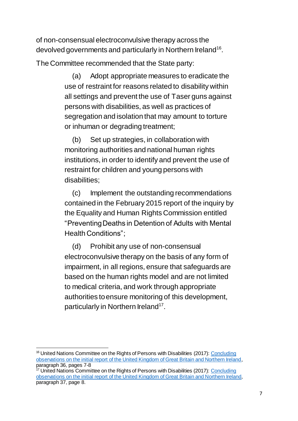of non-consensual electroconvulsive therapy across the devolved governments and particularly in Northern Ireland<sup>16</sup>.

The Committee recommended that the State party:

(a) Adopt appropriate measures to eradicate the use of restraint for reasons related to disability within all settings and prevent the use of Taser guns against persons with disabilities, as well as practices of segregation and isolation that may amount to torture or inhuman or degrading treatment;

(b) Set up strategies, in collaboration with monitoring authorities and national human rights institutions, in order to identify and prevent the use of restraint for children and young persons with disabilities;

(c) Implement the outstanding recommendations contained in the February 2015 report of the inquiry by the Equality and Human Rights Commission entitled "Preventing Deaths in Detention of Adults with Mental Health Conditions";

(d) Prohibit any use of non-consensual electroconvulsive therapy on the basis of any form of impairment, in all regions, ensure that safeguards are based on the human rights model and are not limited to medical criteria, and work through appropriate authorities toensure monitoring of this development, particularly in Northern Ireland<sup>17</sup>.

 $\overline{a}$ <sup>16</sup> United Nations Committee on the Rights of Persons with Disabilities (2017): Concluding observations [on the initial report of the United Kingdom of Great Britain and Northern Ireland](https://www.equalityni.org/ECNI/media/ECNI/Publications/Delivering%20Equality/CRPD-ConcludingObservationsAug17.pdf), paragraph 36, pages 7-8

<sup>&</sup>lt;sup>17</sup> United Nations Committee on the Rights of Persons with Disabilities (2017): Concluding observations [on the initial report of the United Kingdom of Great Britain and Northern Ireland](https://www.equalityni.org/ECNI/media/ECNI/Publications/Delivering%20Equality/CRPD-ConcludingObservationsAug17.pdf), paragraph 37, page 8.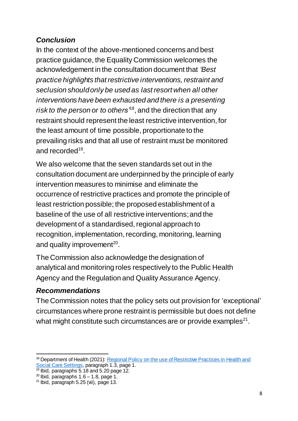## *Conclusion*

In the context of the above-mentioned concerns and best practice guidance, the Equality Commission welcomes the acknowledgement in the consultation document that *'Best practice highlights that restrictive interventions, restraint and seclusion should only be used as last resort when all other interventions have been exhausted and there is a presenting risk to the person or to others'*<sup>18</sup>, and the direction that any restraint should represent the least restrictive intervention, for the least amount of time possible, proportionate to the prevailing risks and that all use of restraint must be monitored and recorded<sup>19</sup>.

We also welcome that the seven standards set out in the consultation document are underpinned by the principle of early intervention measures to minimise and eliminate the occurrence of restrictive practices and promote the principle of least restriction possible; the proposed establishment of a baseline of the use of all restrictive interventions;and the development of a standardised, regional approach to recognition, implementation, recording, monitoring, learning and quality improvement $^{20}$ .

The Commission also acknowledge the designation of analytical and monitoring roles respectively to the Public Health Agency and the Regulation and Quality Assurance Agency.

## *Recommendations*

The Commission notes that the policy sets out provision for 'exceptional' circumstances where prone restraint is permissible but does not define what might constitute such circumstances are or provide examples $^{21}$ .

 $\overline{a}$ <sup>18</sup> Department of Health (2021): Regional Policy on the use of Restrictive Practices in Health and [Social Care Settings](https://www.health-ni.gov.uk/sites/default/files/consultations/health/doh-draft-reg-pol-restrict-practice.pdf), paragraph 1.3, page 1.

 $19$  lbid, paragraphs 5.18 and 5.20 page 12.

 $20$  Ibid, paragraphs 1.6 – 1.8, page 1.

 $21$  Ibid, paragraph 5.25 (vii), page 13.